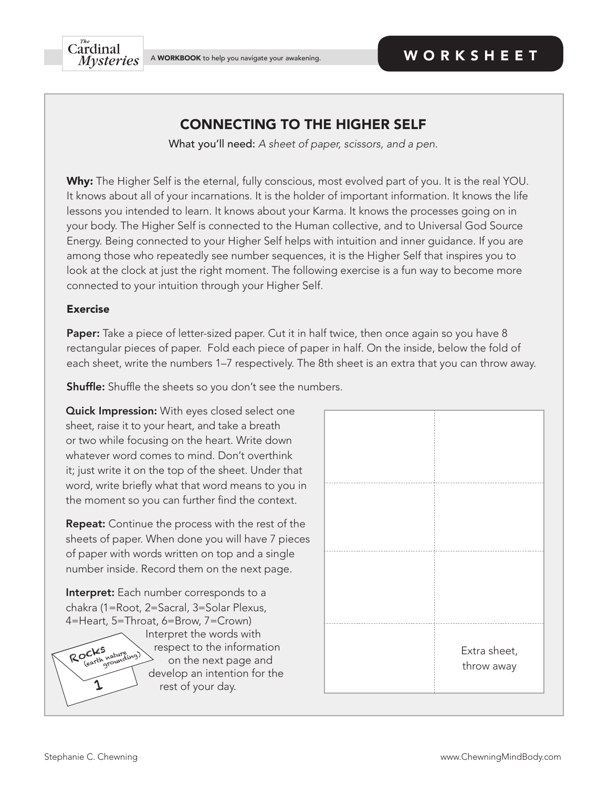## CONNECTING TO THE HIGHER SELF

What you'll need: *A sheet of paper, scissors, and a pen.* 

Why: The Higher Self is the eternal, fully conscious, most evolved part of you. It is the real YOU. It knows about all of your incarnations. It is the holder of important information. It knows the life lessons you intended to learn. It knows about your Karma. It knows the processes going on in your body. The Higher Self is connected to the Human collective, and to Universal God Source Energy. Being connected to your Higher Self helps with intuition and inner guidance. If you are among those who repeatedly see number sequences, it is the Higher Self that inspires you to look at the clock at just the right moment. The following exercise is a fun way to become more connected to your intuition through your Higher Self.

## Exercise

Paper: Take a piece of letter-sized paper. Cut it in half twice, then once again so you have 8 rectangular pieces of paper. Fold each piece of paper in half. On the inside, below the fold of each sheet, write the numbers 1–7 respectively. The 8th sheet is an extra that you can throw away.

**Shuffle:** Shuffle the sheets so you don't see the numbers.

Quick Impression: With eyes closed select one sheet, raise it to your heart, and take a breath or two while focusing on the heart. Write down whatever word comes to mind. Don't overthink it; just write it on the top of the sheet. Under that word, write briefly what that word means to you in the moment so you can further find the context.

Repeat: Continue the process with the rest of the sheets of paper. When done you will have 7 pieces of paper with words written on top and a single number inside. Record them on the next page.

Interpret: Each number corresponds to a chakra (1=Root, 2=Sacral, 3=Solar Plexus, 4=Heart, 5=Throat, 6=Brow, 7=Crown)

 Interpret the words with respect to the information on the next page and develop an intention for the rest of your day.

| Extra sheet,<br>throw away |
|----------------------------|

Rock's nature<br>
(earth grounding)